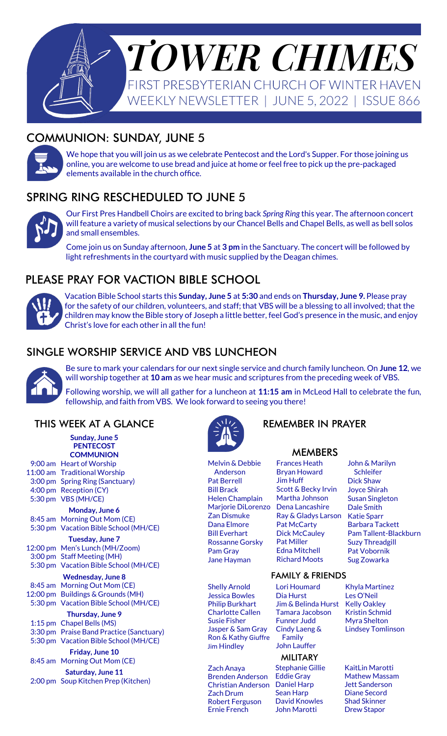

# COMMUNION: SUNDAY, JUNE 5



We hope that you will join us as we celebrate Pentecost and the Lord's Supper. For those joining us online, you are welcome to use bread and juice at home or feel free to pick up the pre-packaged elements available in the church office.

# SPRING RING RESCHEDULED TO JUNE 5



Our First Pres Handbell Choirs are excited to bring back *Spring Ring* this year. The afternoon concert will feature a variety of musical selections by our Chancel Bells and Chapel Bells, as well as bell solos and small ensembles.

Come join us on Sunday afternoon, **June 5** at **3 pm** in the Sanctuary. The concert will be followed by light refreshments in the courtyard with music supplied by the Deagan chimes.

# PLEASE PRAY FOR VACTION BIBLE SCHOOL



Vacation Bible School starts this **Sunday, June 5** at **5:30** and ends on **Thursday, June 9.** Please pray for the safety of our children, volunteers, and staff; that VBS will be a blessing to all involved; that the children may know the Bible story of Joseph a little better, feel God's presence in the music, and enjoy Christ's love for each other in all the fun!

## SINGLE WORSHIP SERVICE AND VBS LUNCHEON



Be sure to mark your calendars for our next single service and church family luncheon. On **June 12**, we will worship together at **10 am** as we hear music and scriptures from the preceding week of VBS.

Following worship, we will all gather for a luncheon at **11:15 am** in McLeod Hall to celebrate the fun, fellowship, and faith from VBS. We look forward to seeing you there!

#### THIS WEEK AT A GLANCE

| Sunday, June 5<br><b>PENTECOST</b> |  |                                          |
|------------------------------------|--|------------------------------------------|
| <b>COMMUNION</b>                   |  |                                          |
|                                    |  | 9:00 am Heart of Worship                 |
|                                    |  | 11:00 am Traditional Worship             |
|                                    |  | 3:00 pm Spring Ring (Sanctuary)          |
|                                    |  | 4:00 pm Reception (CY)                   |
|                                    |  | 5:30 pm VBS (MH/CE)                      |
| Monday, June 6                     |  |                                          |
|                                    |  | 8:45 am Morning Out Mom (CE)             |
|                                    |  | 5:30 pm Vacation Bible School (MH/CE)    |
| Tuesday, June 7                    |  |                                          |
|                                    |  | 12:00 pm Men's Lunch (MH/Zoom)           |
|                                    |  | 3:00 pm Staff Meeting (MH)               |
|                                    |  | 5:30 pm Vacation Bible School (MH/CE)    |
|                                    |  | <b>Wednesday, June 8</b>                 |
|                                    |  | 8:45 am Morning Out Mom (CE)             |
|                                    |  | 12:00 pm Buildings & Grounds (MH)        |
|                                    |  | 5:30 pm Vacation Bible School (MH/CE)    |
| Thursday, June 9                   |  |                                          |
|                                    |  | 1:15 pm Chapel Bells (MS)                |
|                                    |  | 3:30 pm Praise Band Practice (Sanctuary) |
|                                    |  | 5:30 pm Vacation Bible School (MH/CE)    |
| Friday, June 10                    |  |                                          |
|                                    |  | 8:45 am Morning Out Mom (CE)             |
|                                    |  | Saturday, June 11                        |
|                                    |  | 2:00 pm Soup Kitchen Prep (Kitchen)      |
|                                    |  |                                          |



Melvin & Debbie Anderson Pat Berrell Bill Brack Helen Champlain Marjorie DiLorenzo Zan Dismuke Dana Elmore Bill Everhart Rossanne Gorsky Pam Gray Jane Hayman

Shelly Arnold Jessica Bowles Philip Burkhart Charlotte Callen Susie Fisher Jasper & Sam Gray Ron & Kathy Giuffre Jim Hindley

Zach Anaya Brenden Anderson Christian Anderson Zach Drum Robert Ferguson Ernie French

### REMEMBER IN PRAYER

#### MEMBERS

Frances Heath Bryan Howard Jim Huff Scott & Becky Irvin Martha Johnson Dena Lancashire Ray & Gladys Larson Pat McCarty Dick McCauley Pat Miller Edna Mitchell Richard Moots

John & Marilyn Schleifer Dick Shaw Joyce Shirah Susan Singleton Dale Smith Katie Sparr Barbara Tackett Pam Tallent-Blackburn Suzy Threadgill Pat Vobornik Sug Zowarka

#### FAMILY & FRIENDS

Lori Houmard Dia Hurst Jim & Belinda Hurst Tamara Jacobson Funner Judd Cindy Laeng & Family John Lauffer

#### **MILITARY**

Stephanie Gillie Eddie Gray Daniel Harp Sean Harp David Knowles John Marotti

Khyla Martinez Les O'Neil Kelly Oakley Kristin Schmid Myra Shelton Lindsey Tomlinson

KaitLin Marotti Mathew Massam Jett Sanderson Diane Secord Shad Skinner Drew Stapor